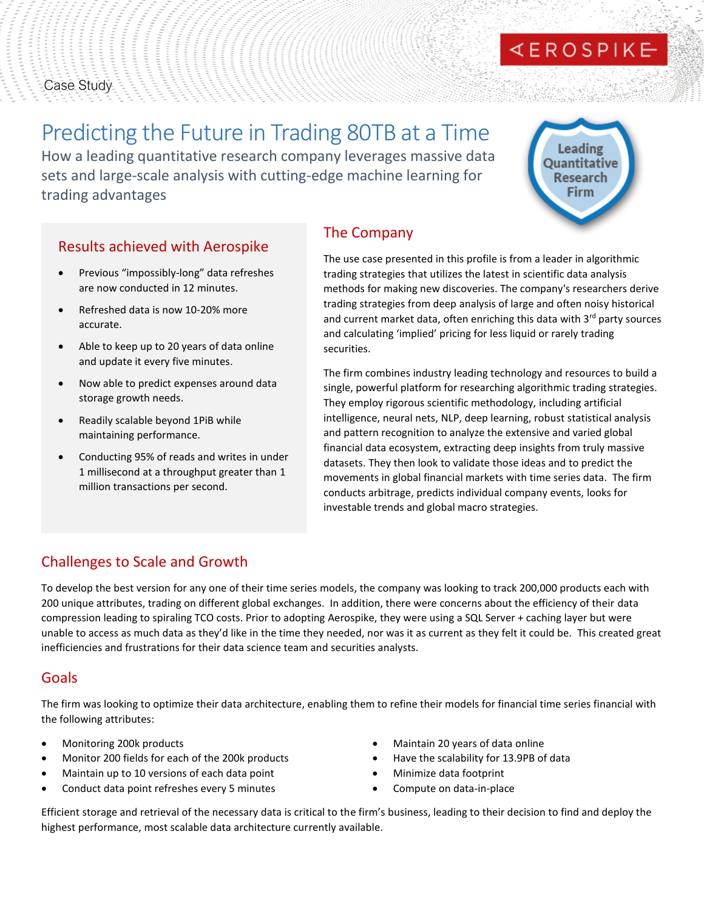# EROSPIKE

# Case Study

# Predicting the Future in Trading 80TB at a Time

How a leading quantitative research company leverages massive data sets and large-scale analysis with cutting-edge machine learning for trading advantages

Leading Ouantitative **Research** Firm

# Results achieved with Aerospike

- Previous "impossibly-long" data refreshes are now conducted in 12 minutes.
- Refreshed data is now 10-20% more accurate.
- Able to keep up to 20 years of data online and update it every five minutes.
- Now able to predict expenses around data storage growth needs.
- Readily scalable beyond 1PiB while maintaining performance.
- Conducting 95% of reads and writes in under 1 millisecond at a throughput greater than 1 million transactions per second.

# The Company

The use case presented in this profile is from a leader in algorithmic trading strategies that utilizes the latest in scientific data analysis methods for making new discoveries. The company's researchers derive trading strategies from deep analysis of large and often noisy historical and current market data, often enriching this data with  $3<sup>rd</sup>$  party sources and calculating 'implied' pricing for less liquid or rarely trading securities.

The firm combines industry leading technology and resources to build a single, powerful platform for researching algorithmic trading strategies. They employ rigorous scientific methodology, including artificial intelligence, neural nets, NLP, deep learning, robust statistical analysis and pattern recognition to analyze the extensive and varied global financial data ecosystem, extracting deep insights from truly massive datasets. They then look to validate those ideas and to predict the movements in global financial markets with time series data. The firm conducts arbitrage, predicts individual company events, looks for investable trends and global macro strategies.

# Challenges to Scale and Growth

To develop the best version for any one of their time series models, the company was looking to track 200,000 products each with 200 unique attributes, trading on different global exchanges. In addition, there were concerns about the efficiency of their data compression leading to spiraling TCO costs. Prior to adopting Aerospike, they were using a SQL Server + caching layer but were unable to access as much data as they'd like in the time they needed, nor was it as current as they felt it could be. This created great inefficiencies and frustrations for their data science team and securities analysts.

# Goals

The firm was looking to optimize their data architecture, enabling them to refine their models for financial time series financial with the following attributes:

- Monitoring 200k products
- Monitor 200 fields for each of the 200k products
- Maintain up to 10 versions of each data point
- Conduct data point refreshes every 5 minutes
- Maintain 20 years of data online
- Have the scalability for 13.9PB of data
- Minimize data footprint
- Compute on data-in-place

Efficient storage and retrieval of the necessary data is critical to the firm's business, leading to their decision to find and deploy the highest performance, most scalable data architecture currently available.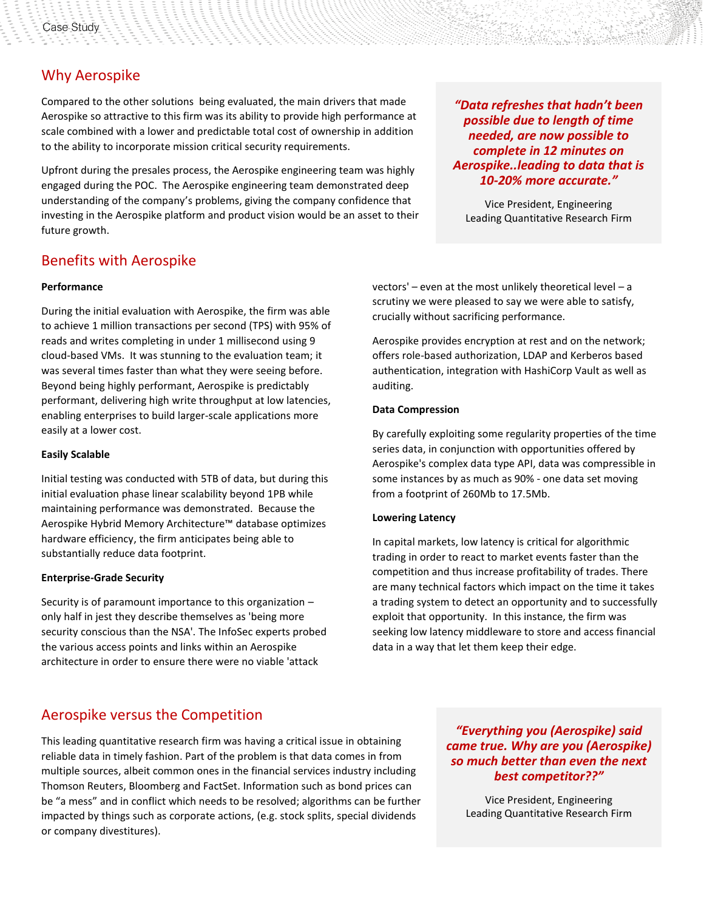# Why Aerospike

Compared to the other solutions being evaluated, the main drivers that made Aerospike so attractive to this firm was its ability to provide high performance at scale combined with a lower and predictable total cost of ownership in addition to the ability to incorporate mission critical security requirements.

Upfront during the presales process, the Aerospike engineering team was highly engaged during the POC. The Aerospike engineering team demonstrated deep understanding of the company's problems, giving the company confidence that investing in the Aerospike platform and product vision would be an asset to their future growth.

# Benefits with Aerospike

#### **Performance**

During the initial evaluation with Aerospike, the firm was able to achieve 1 million transactions per second (TPS) with 95% of reads and writes completing in under 1 millisecond using 9 cloud-based VMs. It was stunning to the evaluation team; it was several times faster than what they were seeing before. Beyond being highly performant, Aerospike is predictably performant, delivering high write throughput at low latencies, enabling enterprises to build larger-scale applications more easily at a lower cost.

#### **Easily Scalable**

Initial testing was conducted with 5TB of data, but during this initial evaluation phase linear scalability beyond 1PB while maintaining performance was demonstrated. Because the Aerospike Hybrid Memory Architecture™ database optimizes hardware efficiency, the firm anticipates being able to substantially reduce data footprint.

#### **Enterprise-Grade Security**

Security is of paramount importance to this organization – only half in jest they describe themselves as 'being more security conscious than the NSA'. The InfoSec experts probed the various access points and links within an Aerospike architecture in order to ensure there were no viable 'attack

*"Data refreshes that hadn't been possible due to length of time needed, are now possible to complete in 12 minutes on Aerospike..leading to data that is 10-20% more accurate."*

Vice President, Engineering Leading Quantitative Research Firm

vectors' – even at the most unlikely theoretical level – a scrutiny we were pleased to say we were able to satisfy, crucially without sacrificing performance.

Aerospike provides encryption at rest and on the network; offers role-based authorization, LDAP and Kerberos based authentication, integration with HashiCorp Vault as well as auditing.

#### **Data Compression**

By carefully exploiting some regularity properties of the time series data, in conjunction with opportunities offered by Aerospike's complex data type API, data was compressible in some instances by as much as 90% - one data set moving from a footprint of 260Mb to 17.5Mb.

#### **Lowering Latency**

In capital markets, low latency is critical for algorithmic trading in order to react to market events faster than the competition and thus increase profitability of trades. There are many technical factors which impact on the time it takes a trading system to detect an opportunity and to successfully exploit that opportunity. In this instance, the firm was seeking low latency middleware to store and access financial data in a way that let them keep their edge.

### Aerospike versus the Competition

This leading quantitative research firm was having a critical issue in obtaining reliable data in timely fashion. Part of the problem is that data comes in from multiple sources, albeit common ones in the financial services industry including Thomson Reuters, Bloomberg and FactSet. Information such as bond prices can be "a mess" and in conflict which needs to be resolved; algorithms can be further impacted by things such as corporate actions, (e.g. stock splits, special dividends or company divestitures).

### *"Everything you (Aerospike) said came true. Why are you (Aerospike) so much better than even the next best competitor??"*

Vice President, Engineering Leading Quantitative Research Firm